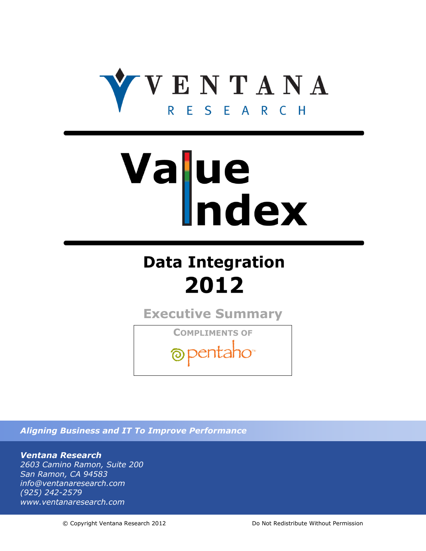

# Value

## **Data Integration** 2012

**Executive Summary**

**COMPLIMENTS OF** opentaho<sup>®</sup>

*Aligning Business and IT To Improve Performance*

*Ventana Research 2603 Camino Ramon, Suite 200 San Ramon, CA 94583 info@ventanaresearch.com (925) 242-2579 www.ventanaresearch.com*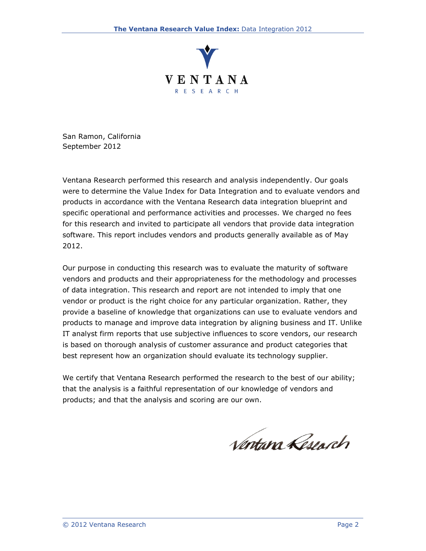

San Ramon, California September 2012

Ventana Research performed this research and analysis independently. Our goals were to determine the Value Index for Data Integration and to evaluate vendors and products in accordance with the Ventana Research data integration blueprint and specific operational and performance activities and processes. We charged no fees for this research and invited to participate all vendors that provide data integration software. This report includes vendors and products generally available as of May 2012.

Our purpose in conducting this research was to evaluate the maturity of software vendors and products and their appropriateness for the methodology and processes of data integration. This research and report are not intended to imply that one vendor or product is the right choice for any particular organization. Rather, they provide a baseline of knowledge that organizations can use to evaluate vendors and products to manage and improve data integration by aligning business and IT. Unlike IT analyst firm reports that use subjective influences to score vendors, our research is based on thorough analysis of customer assurance and product categories that best represent how an organization should evaluate its technology supplier.

We certify that Ventana Research performed the research to the best of our ability; that the analysis is a faithful representation of our knowledge of vendors and products; and that the analysis and scoring are our own.

Ventann Reseach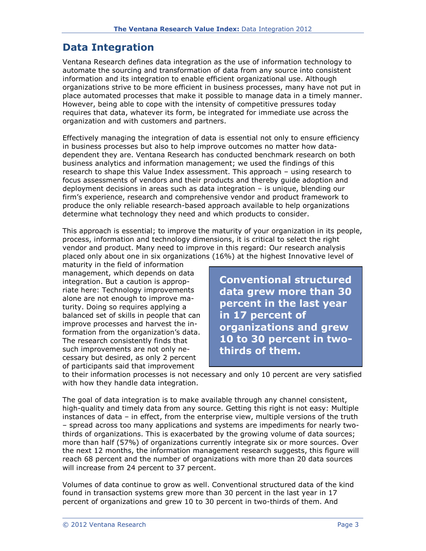#### **Data Integration**

Ventana Research defines data integration as the use of information technology to automate the sourcing and transformation of data from any source into consistent information and its integration to enable efficient organizational use. Although organizations strive to be more efficient in business processes, many have not put in place automated processes that make it possible to manage data in a timely manner. However, being able to cope with the intensity of competitive pressures today requires that data, whatever its form, be integrated for immediate use across the organization and with customers and partners.

Effectively managing the integration of data is essential not only to ensure efficiency in business processes but also to help improve outcomes no matter how datadependent they are. Ventana Research has conducted benchmark research on both business analytics and information management; we used the findings of this research to shape this Value Index assessment. This approach – using research to focus assessments of vendors and their products and thereby guide adoption and deployment decisions in areas such as data integration – is unique, blending our firm's experience, research and comprehensive vendor and product framework to produce the only reliable research-based approach available to help organizations determine what technology they need and which products to consider.

This approach is essential; to improve the maturity of your organization in its people, process, information and technology dimensions, it is critical to select the right vendor and product. Many need to improve in this regard: Our research analysis placed only about one in six organizations (16%) at the highest Innovative level of

maturity in the field of information management, which depends on data integration. But a caution is appropriate here: Technology improvements alone are not enough to improve maturity. Doing so requires applying a balanced set of skills in people that can improve processes and harvest the information from the organization's data. The research consistently finds that such improvements are not only necessary but desired, as only 2 percent of participants said that improvement

**Conventional structured data grew more than 30 percent in the last year in 17 percent of organizations and grew 10 to 30 percent in twothirds of them.**

to their information processes is not necessary and only 10 percent are very satisfied with how they handle data integration.

The goal of data integration is to make available through any channel consistent, high-quality and timely data from any source. Getting this right is not easy: Multiple instances of data – in effect, from the enterprise view, multiple versions of the truth – spread across too many applications and systems are impediments for nearly twothirds of organizations. This is exacerbated by the growing volume of data sources; more than half (57%) of organizations currently integrate six or more sources. Over the next 12 months, the information management research suggests, this figure will reach 68 percent and the number of organizations with more than 20 data sources will increase from 24 percent to 37 percent.

Volumes of data continue to grow as well. Conventional structured data of the kind found in transaction systems grew more than 30 percent in the last year in 17 percent of organizations and grew 10 to 30 percent in two-thirds of them. And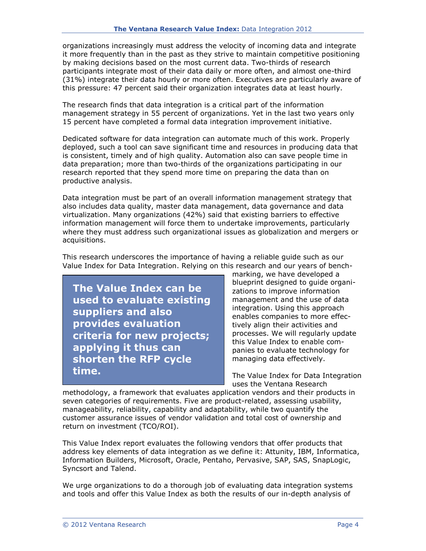organizations increasingly must address the velocity of incoming data and integrate it more frequently than in the past as they strive to maintain competitive positioning by making decisions based on the most current data. Two-thirds of research participants integrate most of their data daily or more often, and almost one-third (31%) integrate their data hourly or more often. Executives are particularly aware of this pressure: 47 percent said their organization integrates data at least hourly.

The research finds that data integration is a critical part of the information management strategy in 55 percent of organizations. Yet in the last two years only 15 percent have completed a formal data integration improvement initiative.

Dedicated software for data integration can automate much of this work. Properly deployed, such a tool can save significant time and resources in producing data that is consistent, timely and of high quality. Automation also can save people time in data preparation; more than two-thirds of the organizations participating in our research reported that they spend more time on preparing the data than on productive analysis.

Data integration must be part of an overall information management strategy that also includes data quality, master data management, data governance and data virtualization. Many organizations (42%) said that existing barriers to effective information management will force them to undertake improvements, particularly where they must address such organizational issues as globalization and mergers or acquisitions.

This research underscores the importance of having a reliable guide such as our Value Index for Data Integration. Relying on this research and our years of bench-

**The Value Index can be used to evaluate existing suppliers and also provides evaluation criteria for new projects; applying it thus can shorten the RFP cycle time.**

marking, we have developed a blueprint designed to guide organizations to improve information management and the use of data integration. Using this approach enables companies to more effectively align their activities and processes. We will regularly update this Value Index to enable companies to evaluate technology for managing data effectively.

The Value Index for Data Integration uses the Ventana Research

methodology, a framework that evaluates application vendors and their products in seven categories of requirements. Five are product-related, assessing usability, manageability, reliability, capability and adaptability, while two quantify the customer assurance issues of vendor validation and total cost of ownership and return on investment (TCO/ROI).

This Value Index report evaluates the following vendors that offer products that address key elements of data integration as we define it: Attunity, IBM, Informatica, Information Builders, Microsoft, Oracle, Pentaho, Pervasive, SAP, SAS, SnapLogic, Syncsort and Talend.

We urge organizations to do a thorough job of evaluating data integration systems and tools and offer this Value Index as both the results of our in-depth analysis of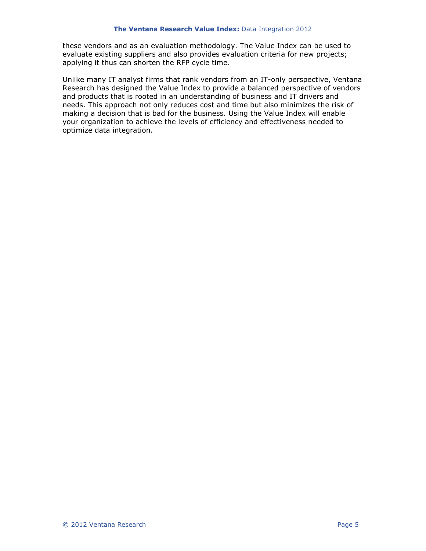these vendors and as an evaluation methodology. The Value Index can be used to evaluate existing suppliers and also provides evaluation criteria for new projects; applying it thus can shorten the RFP cycle time.

Unlike many IT analyst firms that rank vendors from an IT-only perspective, Ventana Research has designed the Value Index to provide a balanced perspective of vendors and products that is rooted in an understanding of business and IT drivers and needs. This approach not only reduces cost and time but also minimizes the risk of making a decision that is bad for the business. Using the Value Index will enable your organization to achieve the levels of efficiency and effectiveness needed to optimize data integration.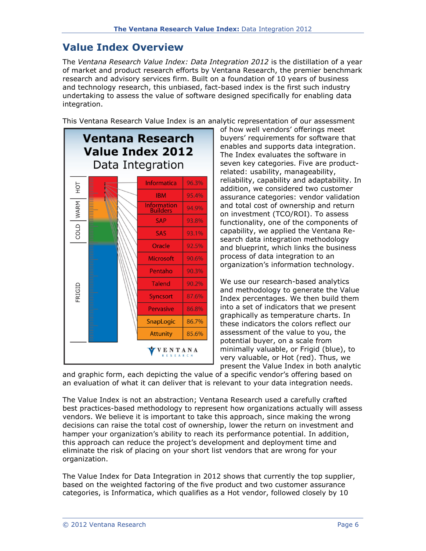#### **Value Index Overview**

The *Ventana Research Value Index: Data Integration 2012* is the distillation of a year of market and product research efforts by Ventana Research, the premier benchmark research and advisory services firm. Built on a foundation of 10 years of business and technology research, this unbiased, fact-based index is the first such industry undertaking to assess the value of software designed specifically for enabling data integration.

This Ventana Research Value Index is an analytic representation of our assessment



of how well vendors' offerings meet buyers' requirements for software that enables and supports data integration. The Index evaluates the software in seven key categories. Five are productrelated: usability, manageability, reliability, capability and adaptability. In addition, we considered two customer assurance categories: vendor validation and total cost of ownership and return on investment (TCO/ROI). To assess functionality, one of the components of capability, we applied the Ventana Research data integration methodology and blueprint, which links the business process of data integration to an organization's information technology.

We use our research-based analytics and methodology to generate the Value Index percentages. We then build them into a set of indicators that we present graphically as temperature charts. In these indicators the colors reflect our assessment of the value to you, the potential buyer, on a scale from minimally valuable, or Frigid (blue), to very valuable, or Hot (red). Thus, we present the Value Index in both analytic

and graphic form, each depicting the value of a specific vendor's offering based on an evaluation of what it can deliver that is relevant to your data integration needs.

The Value Index is not an abstraction; Ventana Research used a carefully crafted best practices-based methodology to represent how organizations actually will assess vendors. We believe it is important to take this approach, since making the wrong decisions can raise the total cost of ownership, lower the return on investment and hamper your organization's ability to reach its performance potential. In addition, this approach can reduce the project's development and deployment time and eliminate the risk of placing on your short list vendors that are wrong for your organization.

The Value Index for Data Integration in 2012 shows that currently the top supplier, based on the weighted factoring of the five product and two customer assurance categories, is Informatica, which qualifies as a Hot vendor, followed closely by 10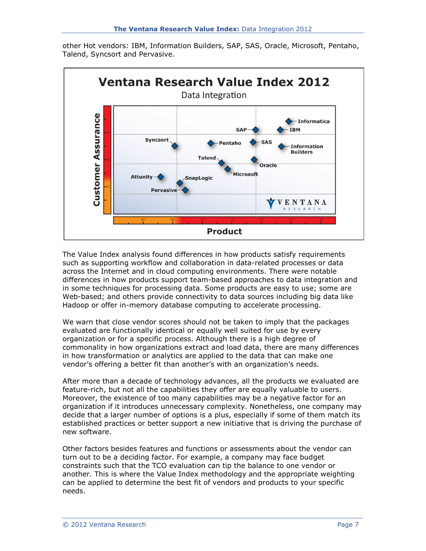other Hot vendors: IBM, Information Builders, SAP, SAS, Oracle, Microsoft, Pentaho, Talend, Syncsort and Pervasive.



The Value Index analysis found differences in how products satisfy requirements such as supporting workflow and collaboration in data-related processes or data across the Internet and in cloud computing environments. There were notable differences in how products support team-based approaches to data integration and in some techniques for processing data. Some products are easy to use; some are Web-based; and others provide connectivity to data sources including big data like Hadoop or offer in-memory database computing to accelerate processing.

We warn that close vendor scores should not be taken to imply that the packages evaluated are functionally identical or equally well suited for use by every organization or for a specific process. Although there is a high degree of commonality in how organizations extract and load data, there are many differences in how transformation or analytics are applied to the data that can make one vendor's offering a better fit than another's with an organization's needs.

After more than a decade of technology advances, all the products we evaluated are feature-rich, but not all the capabilities they offer are equally valuable to users. Moreover, the existence of too many capabilities may be a negative factor for an organization if it introduces unnecessary complexity. Nonetheless, one company may decide that a larger number of options is a plus, especially if some of them match its established practices or better support a new initiative that is driving the purchase of new software.

Other factors besides features and functions or assessments about the vendor can turn out to be a deciding factor. For example, a company may face budget constraints such that the TCO evaluation can tip the balance to one vendor or another. This is where the Value Index methodology and the appropriate weighting can be applied to determine the best fit of vendors and products to your specific needs.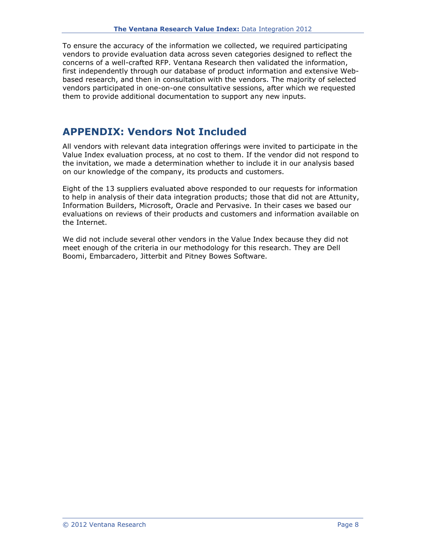To ensure the accuracy of the information we collected, we required participating vendors to provide evaluation data across seven categories designed to reflect the concerns of a well-crafted RFP. Ventana Research then validated the information, first independently through our database of product information and extensive Webbased research, and then in consultation with the vendors. The majority of selected vendors participated in one-on-one consultative sessions, after which we requested them to provide additional documentation to support any new inputs.

### **APPENDIX: Vendors Not Included**

All vendors with relevant data integration offerings were invited to participate in the Value Index evaluation process, at no cost to them. If the vendor did not respond to the invitation, we made a determination whether to include it in our analysis based on our knowledge of the company, its products and customers.

Eight of the 13 suppliers evaluated above responded to our requests for information to help in analysis of their data integration products; those that did not are Attunity, Information Builders, Microsoft, Oracle and Pervasive. In their cases we based our evaluations on reviews of their products and customers and information available on the Internet.

We did not include several other vendors in the Value Index because they did not meet enough of the criteria in our methodology for this research. They are Dell Boomi, Embarcadero, Jitterbit and Pitney Bowes Software.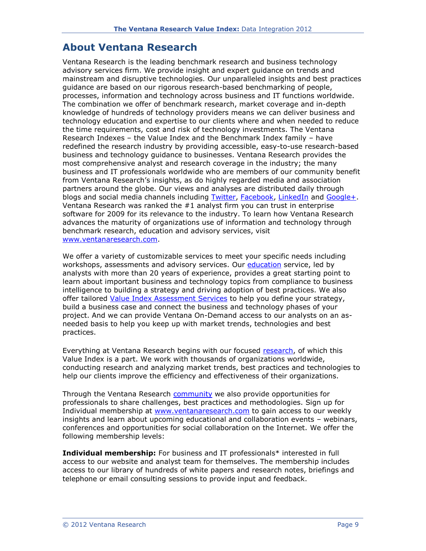#### **About Ventana Research**

Ventana Research is the leading benchmark research and business technology advisory services firm. We provide insight and expert guidance on trends and mainstream and disruptive technologies. Our unparalleled insights and best practices guidance are based on our rigorous research-based benchmarking of people, processes, information and technology across business and IT functions worldwide. The combination we offer of benchmark research, market coverage and in-depth knowledge of hundreds of technology providers means we can deliver business and technology education and expertise to our clients where and when needed to reduce the time requirements, cost and risk of technology investments. The Ventana Research Indexes – the Value Index and the Benchmark Index family – have redefined the research industry by providing accessible, easy-to-use research-based business and technology guidance to businesses. Ventana Research provides the most comprehensive analyst and research coverage in the industry; the many business and IT professionals worldwide who are members of our community benefit from Ventana Research's insights, as do highly regarded media and association partners around the globe. Our views and analyses are distributed daily through blogs and social media channels including [Twitter,](http://twitter.com/ventanaresearch) [Facebook,](http://www.facebook.com/group.php?gid=42346537689&ref=ts) [LinkedIn](http://www.linkedin.com/groups?gid=1625427) and [Google+.](https://plus.google.com/107660697898618790080/posts#107660697898618790080/posts) Ventana Research was ranked the #1 analyst firm you can trust in enterprise software for 2009 for its relevance to the industry. To learn how Ventana Research advances the maturity of organizations use of information and technology through benchmark research, education and advisory services, visit [www.ventanaresearch.com.](http://www.ventanaresearch.com/)

We offer a variety of customizable services to meet your specific needs including workshops, assessments and advisory services. Our [education](http://www.ventanaresearch.com/services/services.aspx?id=3697) service, led by analysts with more than 20 years of experience, provides a great starting point to learn about important business and technology topics from compliance to business intelligence to building a strategy and driving adoption of best practices. We also offer tailored [Value Index Assessment Services](http://www.ventanaresearch.com/services/services.aspx?id=3751) to help you define your strategy, build a business case and connect the business and technology phases of your project. And we can provide Ventana On-Demand access to our analysts on an asneeded basis to help you keep up with market trends, technologies and best practices.

Everything at Ventana Research begins with our focused [research,](http://www.ventanaresearch.com/services/services.php?id=67) of which this Value Index is a part. We work with thousands of organizations worldwide, conducting research and analyzing market trends, best practices and technologies to help our clients improve the efficiency and effectiveness of their organizations.

Through the Ventana Research **[community](http://www.ventanaresearch.com/services/services.php?id=3630)** we also provide opportunities for professionals to share challenges, best practices and methodologies. Sign up for Individual membership at [www.ventanaresearch.com](http://www.ventanaresearch.com/) to gain access to our weekly insights and learn about upcoming educational and collaboration events – webinars, conferences and opportunities for social collaboration on the Internet. We offer the following membership levels:

**Individual membership:** For business and IT professionals\* interested in full access to our website and analyst team for themselves. The membership includes access to our library of hundreds of white papers and research notes, briefings and telephone or email consulting sessions to provide input and feedback.